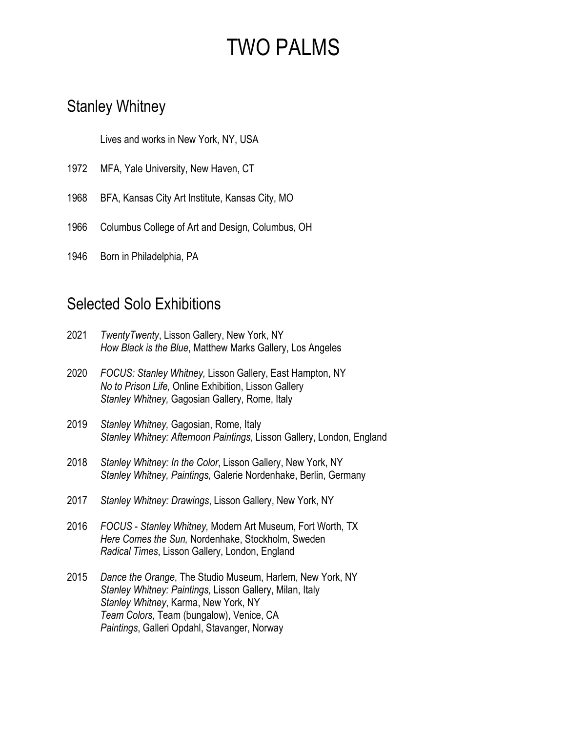### Stanley Whitney

Lives and works in New York, NY, USA

- 1972 MFA, Yale University, New Haven, CT
- 1968 BFA, Kansas City Art Institute, Kansas City, MO
- 1966 Columbus College of Art and Design, Columbus, OH
- 1946 Born in Philadelphia, PA

#### Selected Solo Exhibitions

- 2021 *TwentyTwenty*, Lisson Gallery, New York, NY *How Black is the Blue*, Matthew Marks Gallery, Los Angeles
- 2020 *FOCUS: Stanley Whitney,* Lisson Gallery, East Hampton, NY *No to Prison Life,* Online Exhibition, Lisson Gallery *Stanley Whitney,* Gagosian Gallery, Rome, Italy
- 2019 *Stanley Whitney,* Gagosian, Rome, Italy *Stanley Whitney: Afternoon Paintings*, Lisson Gallery, London, England
- 2018 *Stanley Whitney: In the Color*, Lisson Gallery, New York, NY *Stanley Whitney, Paintings,* Galerie Nordenhake, Berlin, Germany
- 2017 *Stanley Whitney: Drawings*, Lisson Gallery, New York, NY
- 2016 *FOCUS Stanley Whitney,* Modern Art Museum, Fort Worth, TX *Here Comes the Sun,* Nordenhake, Stockholm, Sweden *Radical Times*, Lisson Gallery, London, England
- 2015 *Dance the Orange*, The Studio Museum, Harlem, New York, NY *Stanley Whitney: Paintings,* Lisson Gallery, Milan, Italy *Stanley Whitney*, Karma, New York, NY *Team Colors,* Team (bungalow), Venice, CA *Paintings*, Galleri Opdahl, Stavanger, Norway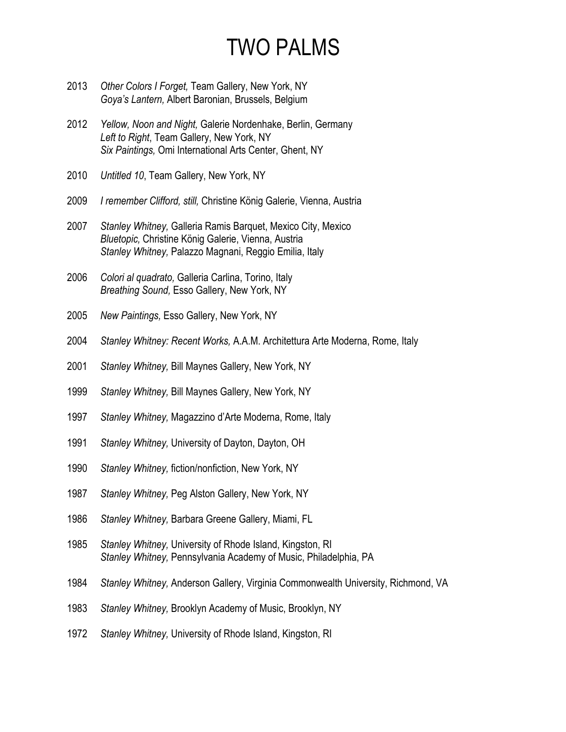- *Other Colors I Forget,* Team Gallery, New York, NY *Goya's Lantern,* Albert Baronian, Brussels, Belgium
- *Yellow, Noon and Night,* Galerie Nordenhake, Berlin, Germany *Left to Right*, Team Gallery, New York, NY *Six Paintings,* Omi International Arts Center, Ghent, NY
- *Untitled 10*, Team Gallery, New York, NY
- *I remember Clifford, still,* Christine König Galerie, Vienna, Austria
- *Stanley Whitney,* Galleria Ramis Barquet, Mexico City, Mexico *Bluetopic,* Christine König Galerie, Vienna, Austria *Stanley Whitney,* Palazzo Magnani, Reggio Emilia, Italy
- *Colori al quadrato,* Galleria Carlina, Torino, Italy *Breathing Sound,* Esso Gallery, New York, NY
- *New Paintings,* Esso Gallery, New York, NY
- *Stanley Whitney: Recent Works,* A.A.M. Architettura Arte Moderna, Rome, Italy
- *Stanley Whitney,* Bill Maynes Gallery, New York, NY
- *Stanley Whitney,* Bill Maynes Gallery, New York, NY
- *Stanley Whitney,* Magazzino d'Arte Moderna, Rome, Italy
- *Stanley Whitney,* University of Dayton, Dayton, OH
- *Stanley Whitney,* fiction/nonfiction, New York, NY
- *Stanley Whitney,* Peg Alston Gallery, New York, NY
- *Stanley Whitney,* Barbara Greene Gallery, Miami, FL
- *Stanley Whitney,* University of Rhode Island, Kingston, RI *Stanley Whitney,* Pennsylvania Academy of Music, Philadelphia, PA
- *Stanley Whitney,* Anderson Gallery, Virginia Commonwealth University, Richmond, VA
- *Stanley Whitney,* Brooklyn Academy of Music, Brooklyn, NY
- *Stanley Whitney,* University of Rhode Island, Kingston, RI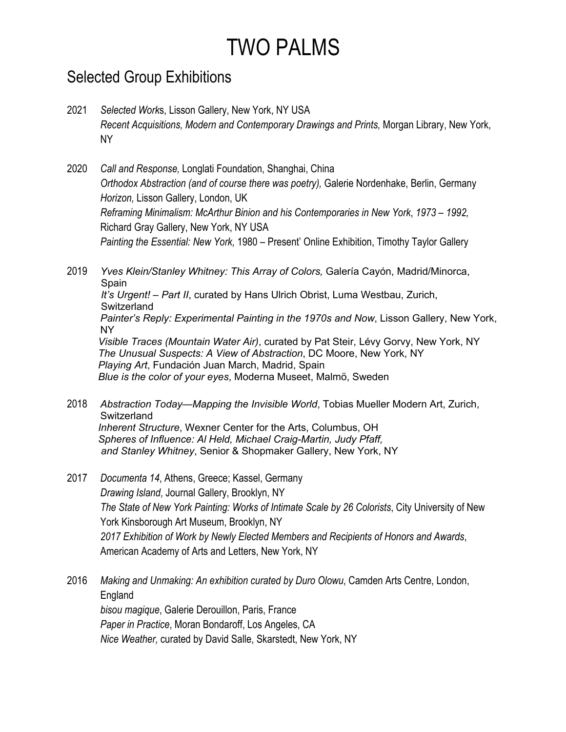### Selected Group Exhibitions

- 2021 *Selected Work*s, Lisson Gallery, New York, NY USA *Recent Acquisitions, Modern and Contemporary Drawings and Prints,* Morgan Library, New York, NY
- 2020 *Call and Response,* Longlati Foundation, Shanghai, China *Orthodox Abstraction (and of course there was poetry),* Galerie Nordenhake, Berlin, Germany *Horizon,* Lisson Gallery, London, UK *Reframing Minimalism: McArthur Binion and his Contemporaries in New York*, *1973 – 1992,* Richard Gray Gallery, New York, NY USA *Painting the Essential: New York,* 1980 – Present' Online Exhibition, Timothy Taylor Gallery

2019 *Yves Klein/Stanley Whitney: This Array of Colors,* Galería Cayón, Madrid/Minorca, Spain *It's Urgent! – Part II*, curated by Hans Ulrich Obrist, Luma Westbau, Zurich, **Switzerland** *Painter's Reply: Experimental Painting in the 1970s and Now*, Lisson Gallery, New York, NY *Visible Traces (Mountain Water Air)*, curated by Pat Steir, Lévy Gorvy, New York, NY *The Unusual Suspects: A View of Abstraction*, DC Moore, New York, NY *Playing Art*, Fundación Juan March, Madrid, Spain *Blue is the color of your eyes*, Moderna Museet, Malmö, Sweden

- 2018 *Abstraction Today—Mapping the Invisible World*, Tobias Mueller Modern Art, Zurich, **Switzerland**  *Inherent Structure*, Wexner Center for the Arts, Columbus, OH *Spheres of Influence: Al Held, Michael Craig-Martin, Judy Pfaff, and Stanley Whitney*, Senior & Shopmaker Gallery, New York, NY
- 2017 *Documenta 14*, Athens, Greece; Kassel, Germany *Drawing Island*, Journal Gallery, Brooklyn, NY *The State of New York Painting: Works of Intimate Scale by 26 Colorists*, City University of New York Kinsborough Art Museum, Brooklyn, NY *2017 Exhibition of Work by Newly Elected Members and Recipients of Honors and Awards*, American Academy of Arts and Letters, New York, NY

2016 *Making and Unmaking: An exhibition curated by Duro Olowu*, Camden Arts Centre, London, England *bisou magique*, Galerie Derouillon, Paris, France *Paper in Practice*, Moran Bondaroff, Los Angeles, CA *Nice Weather,* curated by David Salle, Skarstedt, New York, NY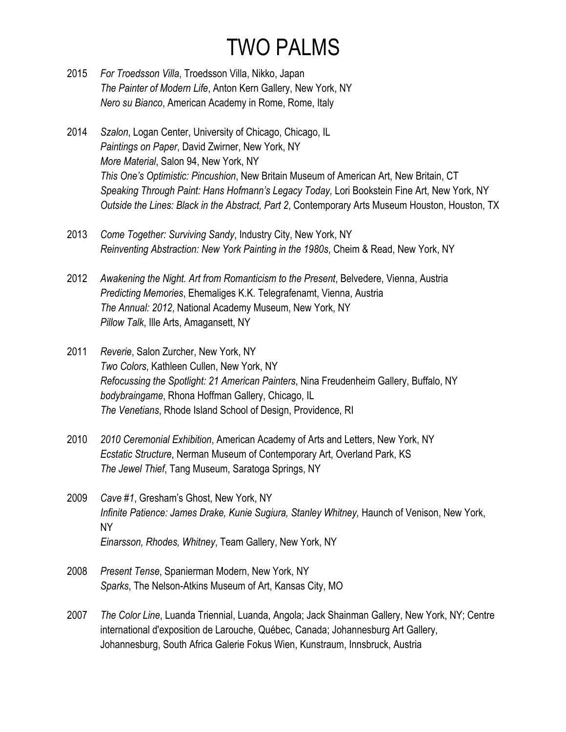- 2015 *For Troedsson Villa*, Troedsson Villa, Nikko, Japan *The Painter of Modern Life*, Anton Kern Gallery, New York, NY *Nero su Bianco*, American Academy in Rome, Rome, Italy
- 2014 *Szalon*, Logan Center, University of Chicago, Chicago, IL *Paintings on Paper*, David Zwirner, New York, NY *More Material*, Salon 94, New York, NY *This One's Optimistic: Pincushion*, New Britain Museum of American Art, New Britain, CT *Speaking Through Paint: Hans Hofmann's Legacy Today,* Lori Bookstein Fine Art, New York, NY *Outside the Lines: Black in the Abstract, Part 2*, Contemporary Arts Museum Houston, Houston, TX
- 2013 *Come Together: Surviving Sandy*, Industry City, New York, NY *Reinventing Abstraction: New York Painting in the 1980s*, Cheim & Read, New York, NY
- 2012 *Awakening the Night. Art from Romanticism to the Present*, Belvedere, Vienna, Austria *Predicting Memories*, Ehemaliges K.K. Telegrafenamt, Vienna, Austria *The Annual: 2012*, National Academy Museum, New York, NY *Pillow Talk*, Ille Arts, Amagansett, NY
- 2011 *Reverie*, Salon Zurcher, New York, NY *Two Colors*, Kathleen Cullen, New York, NY *Refocussing the Spotlight: 21 American Painters*, Nina Freudenheim Gallery, Buffalo, NY *bodybraingame*, Rhona Hoffman Gallery, Chicago, IL *The Venetians*, Rhode Island School of Design, Providence, RI
- 2010 *2010 Ceremonial Exhibition*, American Academy of Arts and Letters, New York, NY *Ecstatic Structure*, Nerman Museum of Contemporary Art, Overland Park, KS *The Jewel Thief*, Tang Museum, Saratoga Springs, NY
- 2009 *Cave #1*, Gresham's Ghost, New York, NY *Infinite Patience: James Drake, Kunie Sugiura, Stanley Whitney,* Haunch of Venison, New York, NY *Einarsson, Rhodes, Whitney*, Team Gallery, New York, NY
- 2008 *Present Tense*, Spanierman Modern, New York, NY *Sparks*, The Nelson-Atkins Museum of Art, Kansas City, MO
- 2007 *The Color Line*, Luanda Triennial, Luanda, Angola; Jack Shainman Gallery, New York, NY; Centre international d'exposition de Larouche, Québec, Canada; Johannesburg Art Gallery, Johannesburg, South Africa Galerie Fokus Wien, Kunstraum, Innsbruck, Austria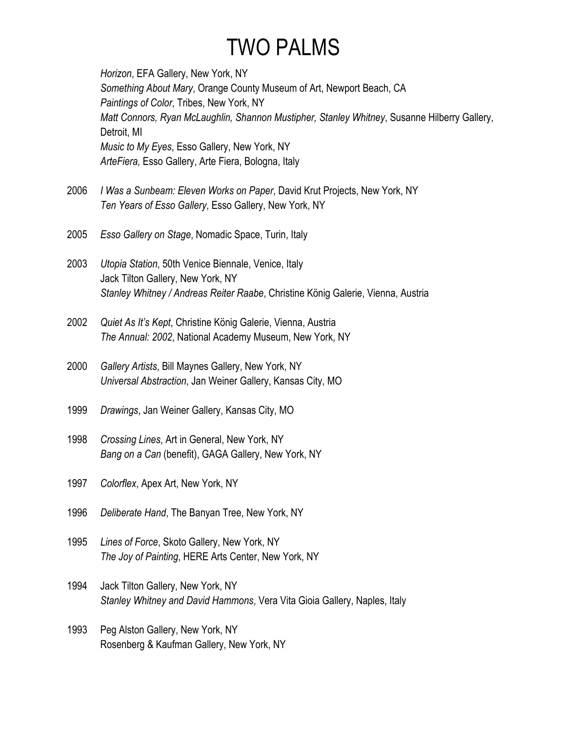*Horizon*, EFA Gallery, New York, NY *Something About Mary*, Orange County Museum of Art, Newport Beach, CA *Paintings of Color*, Tribes, New York, NY *Matt Connors, Ryan McLaughlin, Shannon Mustipher, Stanley Whitney*, Susanne Hilberry Gallery, Detroit, MI *Music to My Eyes*, Esso Gallery, New York, NY *ArteFiera,* Esso Gallery, Arte Fiera, Bologna, Italy 2006 *I Was a Sunbeam: Eleven Works on Paper*, David Krut Projects, New York, NY *Ten Years of Esso Gallery*, Esso Gallery, New York, NY 2005 *Esso Gallery on Stage*, Nomadic Space, Turin, Italy 2003 *Utopia Station*, 50th Venice Biennale, Venice, Italy Jack Tilton Gallery, New York, NY *Stanley Whitney / Andreas Reiter Raabe*, Christine König Galerie, Vienna, Austria 2002 *Quiet As It's Kept*, Christine König Galerie, Vienna, Austria *The Annual: 2002*, National Academy Museum, New York, NY 2000 *Gallery Artists*, Bill Maynes Gallery, New York, NY *Universal Abstraction*, Jan Weiner Gallery, Kansas City, MO 1999 *Drawings*, Jan Weiner Gallery, Kansas City, MO 1998 *Crossing Lines*, Art in General, New York, NY *Bang on a Can* (benefit), GAGA Gallery, New York, NY 1997 *Colorflex*, Apex Art, New York, NY 1996 *Deliberate Hand*, The Banyan Tree, New York, NY 1995 *Lines of Force*, Skoto Gallery, New York, NY *The Joy of Painting*, HERE Arts Center, New York, NY 1994 Jack Tilton Gallery, New York, NY *Stanley Whitney and David Hammons*, Vera Vita Gioia Gallery, Naples, Italy 1993 Peg Alston Gallery, New York, NY Rosenberg & Kaufman Gallery, New York, NY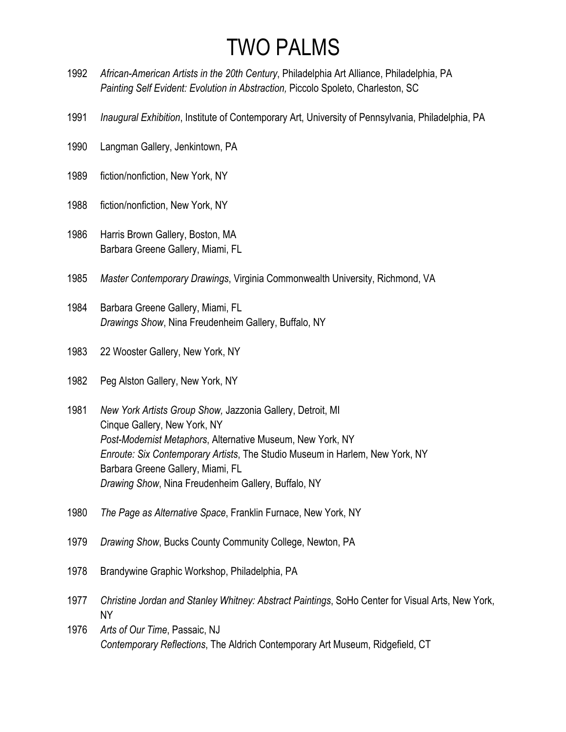- 1992 *African-American Artists in the 20th Century*, Philadelphia Art Alliance, Philadelphia, PA *Painting Self Evident: Evolution in Abstraction,* Piccolo Spoleto, Charleston, SC
- 1991 *Inaugural Exhibition*, Institute of Contemporary Art, University of Pennsylvania, Philadelphia, PA
- 1990 Langman Gallery, Jenkintown, PA
- 1989 fiction/nonfiction, New York, NY
- 1988 fiction/nonfiction, New York, NY
- 1986 Harris Brown Gallery, Boston, MA Barbara Greene Gallery, Miami, FL
- 1985 *Master Contemporary Drawings*, Virginia Commonwealth University, Richmond, VA
- 1984 Barbara Greene Gallery, Miami, FL *Drawings Show*, Nina Freudenheim Gallery, Buffalo, NY
- 1983 22 Wooster Gallery, New York, NY
- 1982 Peg Alston Gallery, New York, NY
- 1981 *New York Artists Group Show,* Jazzonia Gallery, Detroit, MI Cinque Gallery, New York, NY *Post-Modernist Metaphors*, Alternative Museum, New York, NY *Enroute: Six Contemporary Artists*, The Studio Museum in Harlem, New York, NY Barbara Greene Gallery, Miami, FL *Drawing Show*, Nina Freudenheim Gallery, Buffalo, NY
- 1980 *The Page as Alternative Space*, Franklin Furnace, New York, NY
- 1979 *Drawing Show*, Bucks County Community College, Newton, PA
- 1978 Brandywine Graphic Workshop, Philadelphia, PA
- 1977 *Christine Jordan and Stanley Whitney: Abstract Paintings*, SoHo Center for Visual Arts, New York, NY
- 1976 *Arts of Our Time*, Passaic, NJ *Contemporary Reflections*, The Aldrich Contemporary Art Museum, Ridgefield, CT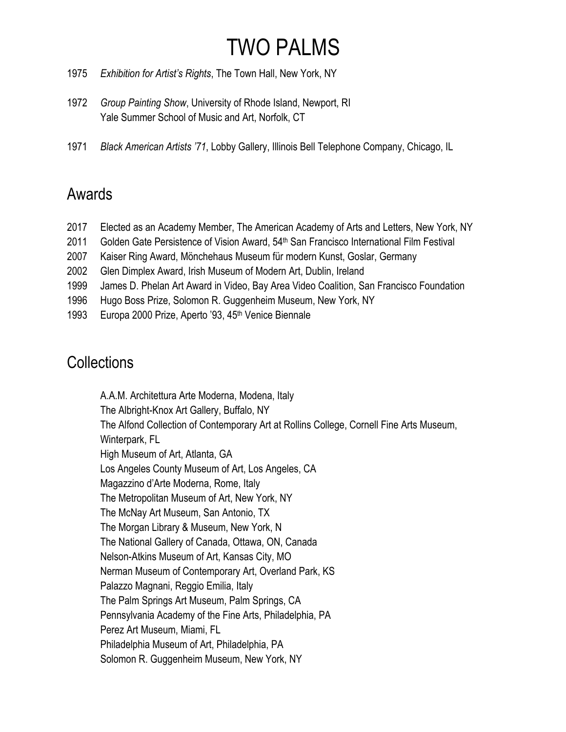- 1975 *Exhibition for Artist's Rights*, The Town Hall, New York, NY
- 1972 *Group Painting Show*, University of Rhode Island, Newport, RI Yale Summer School of Music and Art, Norfolk, CT
- 1971 *Black American Artists '71*, Lobby Gallery, Illinois Bell Telephone Company, Chicago, IL

#### Awards

- 2017 Elected as an Academy Member, The American Academy of Arts and Letters, New York, NY
- 2011 Golden Gate Persistence of Vision Award, 54<sup>th</sup> San Francisco International Film Festival
- 2007 Kaiser Ring Award, Mönchehaus Museum für modern Kunst, Goslar, Germany
- 2002 Glen Dimplex Award, Irish Museum of Modern Art, Dublin, Ireland
- 1999 James D. Phelan Art Award in Video, Bay Area Video Coalition, San Francisco Foundation
- 1996 Hugo Boss Prize, Solomon R. Guggenheim Museum, New York, NY
- 1993 Europa 2000 Prize, Aperto '93, 45<sup>th</sup> Venice Biennale

#### **Collections**

A.A.M. Architettura Arte Moderna, Modena, Italy The Albright-Knox Art Gallery, Buffalo, NY The Alfond Collection of Contemporary Art at Rollins College, Cornell Fine Arts Museum, Winterpark, FL High Museum of Art, Atlanta, GA Los Angeles County Museum of Art, Los Angeles, CA Magazzino d'Arte Moderna, Rome, Italy The Metropolitan Museum of Art, New York, NY The McNay Art Museum, San Antonio, TX The Morgan Library & Museum, New York, N The National Gallery of Canada, Ottawa, ON, Canada Nelson-Atkins Museum of Art, Kansas City, MO Nerman Museum of Contemporary Art, Overland Park, KS Palazzo Magnani, Reggio Emilia, Italy The Palm Springs Art Museum, Palm Springs, CA Pennsylvania Academy of the Fine Arts, Philadelphia, PA Perez Art Museum, Miami, FL Philadelphia Museum of Art, Philadelphia, PA Solomon R. Guggenheim Museum, New York, NY